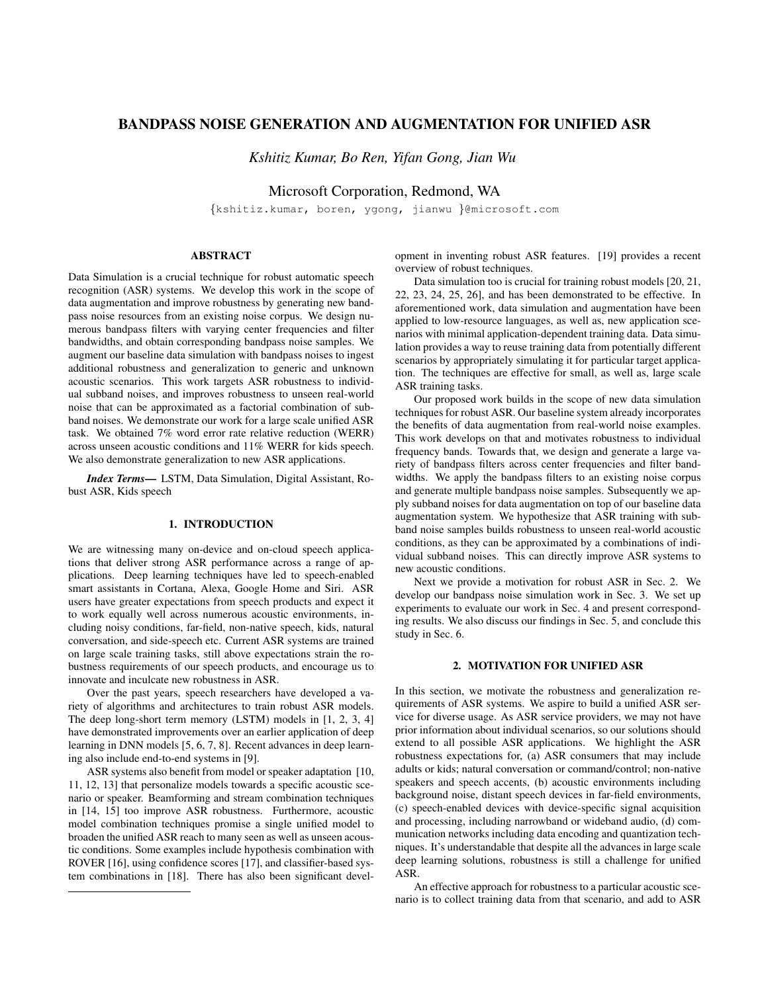# BANDPASS NOISE GENERATION AND AUGMENTATION FOR UNIFIED ASR

*Kshitiz Kumar, Bo Ren, Yifan Gong, Jian Wu*

Microsoft Corporation, Redmond, WA

{kshitiz.kumar, boren, ygong, jianwu }@microsoft.com

# ABSTRACT

Data Simulation is a crucial technique for robust automatic speech recognition (ASR) systems. We develop this work in the scope of data augmentation and improve robustness by generating new bandpass noise resources from an existing noise corpus. We design numerous bandpass filters with varying center frequencies and filter bandwidths, and obtain corresponding bandpass noise samples. We augment our baseline data simulation with bandpass noises to ingest additional robustness and generalization to generic and unknown acoustic scenarios. This work targets ASR robustness to individual subband noises, and improves robustness to unseen real-world noise that can be approximated as a factorial combination of subband noises. We demonstrate our work for a large scale unified ASR task. We obtained 7% word error rate relative reduction (WERR) across unseen acoustic conditions and 11% WERR for kids speech. We also demonstrate generalization to new ASR applications.

*Index Terms*— LSTM, Data Simulation, Digital Assistant, Robust ASR, Kids speech

# 1. INTRODUCTION

We are witnessing many on-device and on-cloud speech applications that deliver strong ASR performance across a range of applications. Deep learning techniques have led to speech-enabled smart assistants in Cortana, Alexa, Google Home and Siri. ASR users have greater expectations from speech products and expect it to work equally well across numerous acoustic environments, including noisy conditions, far-field, non-native speech, kids, natural conversation, and side-speech etc. Current ASR systems are trained on large scale training tasks, still above expectations strain the robustness requirements of our speech products, and encourage us to innovate and inculcate new robustness in ASR.

Over the past years, speech researchers have developed a variety of algorithms and architectures to train robust ASR models. The deep long-short term memory (LSTM) models in [1, 2, 3, 4] have demonstrated improvements over an earlier application of deep learning in DNN models [5, 6, 7, 8]. Recent advances in deep learning also include end-to-end systems in [9].

ASR systems also benefit from model or speaker adaptation [10, 11, 12, 13] that personalize models towards a specific acoustic scenario or speaker. Beamforming and stream combination techniques in [14, 15] too improve ASR robustness. Furthermore, acoustic model combination techniques promise a single unified model to broaden the unified ASR reach to many seen as well as unseen acoustic conditions. Some examples include hypothesis combination with ROVER [16], using confidence scores [17], and classifier-based system combinations in [18]. There has also been significant development in inventing robust ASR features. [19] provides a recent overview of robust techniques.

Data simulation too is crucial for training robust models [20, 21, 22, 23, 24, 25, 26], and has been demonstrated to be effective. In aforementioned work, data simulation and augmentation have been applied to low-resource languages, as well as, new application scenarios with minimal application-dependent training data. Data simulation provides a way to reuse training data from potentially different scenarios by appropriately simulating it for particular target application. The techniques are effective for small, as well as, large scale ASR training tasks.

Our proposed work builds in the scope of new data simulation techniques for robust ASR. Our baseline system already incorporates the benefits of data augmentation from real-world noise examples. This work develops on that and motivates robustness to individual frequency bands. Towards that, we design and generate a large variety of bandpass filters across center frequencies and filter bandwidths. We apply the bandpass filters to an existing noise corpus and generate multiple bandpass noise samples. Subsequently we apply subband noises for data augmentation on top of our baseline data augmentation system. We hypothesize that ASR training with subband noise samples builds robustness to unseen real-world acoustic conditions, as they can be approximated by a combinations of individual subband noises. This can directly improve ASR systems to new acoustic conditions.

Next we provide a motivation for robust ASR in Sec. 2. We develop our bandpass noise simulation work in Sec. 3. We set up experiments to evaluate our work in Sec. 4 and present corresponding results. We also discuss our findings in Sec. 5, and conclude this study in Sec. 6.

## 2. MOTIVATION FOR UNIFIED ASR

In this section, we motivate the robustness and generalization requirements of ASR systems. We aspire to build a unified ASR service for diverse usage. As ASR service providers, we may not have prior information about individual scenarios, so our solutions should extend to all possible ASR applications. We highlight the ASR robustness expectations for, (a) ASR consumers that may include adults or kids; natural conversation or command/control; non-native speakers and speech accents, (b) acoustic environments including background noise, distant speech devices in far-field environments, (c) speech-enabled devices with device-specific signal acquisition and processing, including narrowband or wideband audio, (d) communication networks including data encoding and quantization techniques. It's understandable that despite all the advances in large scale deep learning solutions, robustness is still a challenge for unified ASR.

An effective approach for robustness to a particular acoustic scenario is to collect training data from that scenario, and add to ASR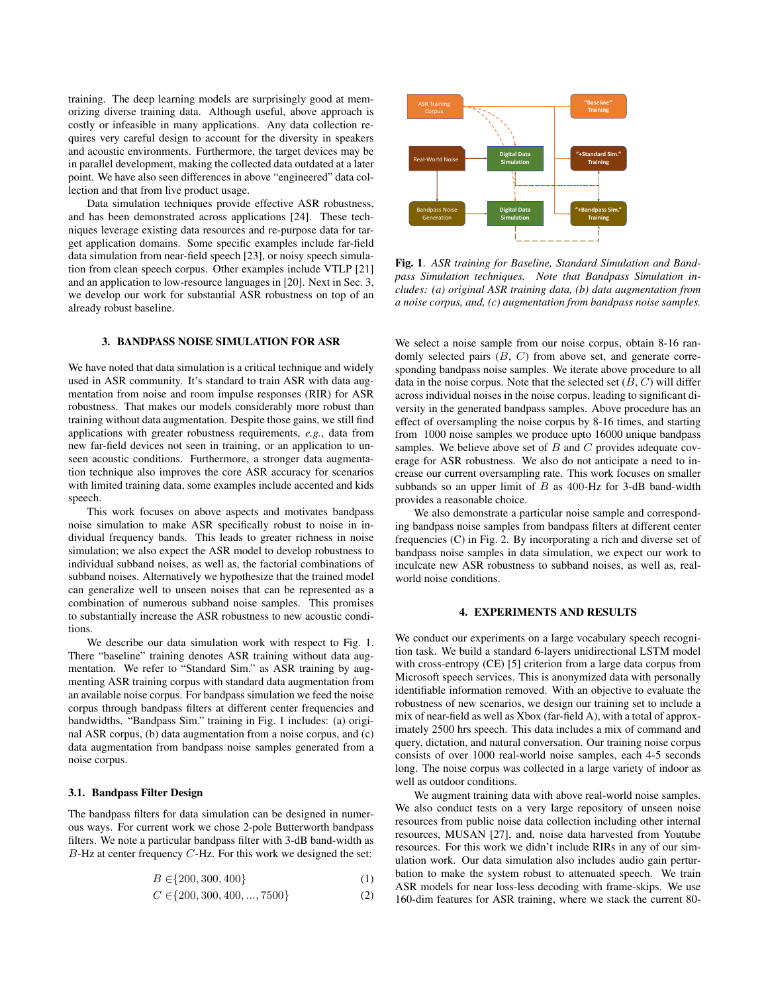training. The deep learning models are surprisingly good at memorizing diverse training data. Although useful, above approach is costly or infeasible in many applications. Any data collection requires very careful design to account for the diversity in speakers and acoustic environments. Furthermore, the target devices may be in parallel development, making the collected data outdated at a later point. We have also seen differences in above "engineered" data collection and that from live product usage.

Data simulation techniques provide effective ASR robustness, and has been demonstrated across applications [24]. These techniques leverage existing data resources and re-purpose data for target application domains. Some specific examples include far-field data simulation from near-field speech [23], or noisy speech simulation from clean speech corpus. Other examples include VTLP [21] and an application to low-resource languages in [20]. Next in Sec. 3, we develop our work for substantial ASR robustness on top of an already robust baseline.

# 3. BANDPASS NOISE SIMULATION FOR ASR

We have noted that data simulation is a critical technique and widely used in ASR community. It's standard to train ASR with data augmentation from noise and room impulse responses (RIR) for ASR robustness. That makes our models considerably more robust than training without data augmentation. Despite those gains, we still find applications with greater robustness requirements, *e.g.*, data from new far-field devices not seen in training, or an application to unseen acoustic conditions. Furthermore, a stronger data augmentation technique also improves the core ASR accuracy for scenarios with limited training data, some examples include accented and kids speech.

This work focuses on above aspects and motivates bandpass noise simulation to make ASR specifically robust to noise in individual frequency bands. This leads to greater richness in noise simulation; we also expect the ASR model to develop robustness to individual subband noises, as well as, the factorial combinations of subband noises. Alternatively we hypothesize that the trained model can generalize well to unseen noises that can be represented as a combination of numerous subband noise samples. This promises to substantially increase the ASR robustness to new acoustic conditions.

We describe our data simulation work with respect to Fig. 1. There "baseline" training denotes ASR training without data augmentation. We refer to "Standard Sim." as ASR training by augmenting ASR training corpus with standard data augmentation from an available noise corpus. For bandpass simulation we feed the noise corpus through bandpass filters at different center frequencies and bandwidths. "Bandpass Sim." training in Fig. 1 includes: (a) original ASR corpus, (b) data augmentation from a noise corpus, and (c) data augmentation from bandpass noise samples generated from a noise corpus.

## 3.1. Bandpass Filter Design

The bandpass filters for data simulation can be designed in numerous ways. For current work we chose 2-pole Butterworth bandpass filters. We note a particular bandpass filter with 3-dB band-width as  $B$ -Hz at center frequency  $C$ -Hz. For this work we designed the set:

$$
B \in \{200, 300, 400\} \tag{1}
$$

$$
C \in \{200, 300, 400, ..., 7500\}
$$
 (2)



Fig. 1. *ASR training for Baseline, Standard Simulation and Bandpass Simulation techniques. Note that Bandpass Simulation includes: (a) original ASR training data, (b) data augmentation from a noise corpus, and, (c) augmentation from bandpass noise samples.*

We select a noise sample from our noise corpus, obtain 8-16 randomly selected pairs  $(B, C)$  from above set, and generate corresponding bandpass noise samples. We iterate above procedure to all data in the noise corpus. Note that the selected set  $(B, C)$  will differ across individual noises in the noise corpus, leading to significant diversity in the generated bandpass samples. Above procedure has an effect of oversampling the noise corpus by 8-16 times, and starting from 1000 noise samples we produce upto 16000 unique bandpass samples. We believe above set of  $B$  and  $C$  provides adequate coverage for ASR robustness. We also do not anticipate a need to increase our current oversampling rate. This work focuses on smaller subbands so an upper limit of  $B$  as 400-Hz for 3-dB band-width provides a reasonable choice.

We also demonstrate a particular noise sample and corresponding bandpass noise samples from bandpass filters at different center frequencies (C) in Fig. 2. By incorporating a rich and diverse set of bandpass noise samples in data simulation, we expect our work to inculcate new ASR robustness to subband noises, as well as, realworld noise conditions.

## 4. EXPERIMENTS AND RESULTS

We conduct our experiments on a large vocabulary speech recognition task. We build a standard 6-layers unidirectional LSTM model with cross-entropy (CE) [5] criterion from a large data corpus from Microsoft speech services. This is anonymized data with personally identifiable information removed. With an objective to evaluate the robustness of new scenarios, we design our training set to include a mix of near-field as well as Xbox (far-field A), with a total of approximately 2500 hrs speech. This data includes a mix of command and query, dictation, and natural conversation. Our training noise corpus consists of over 1000 real-world noise samples, each 4-5 seconds long. The noise corpus was collected in a large variety of indoor as well as outdoor conditions.

We augment training data with above real-world noise samples. We also conduct tests on a very large repository of unseen noise resources from public noise data collection including other internal resources, MUSAN [27], and, noise data harvested from Youtube resources. For this work we didn't include RIRs in any of our simulation work. Our data simulation also includes audio gain perturbation to make the system robust to attenuated speech. We train ASR models for near loss-less decoding with frame-skips. We use 160-dim features for ASR training, where we stack the current 80-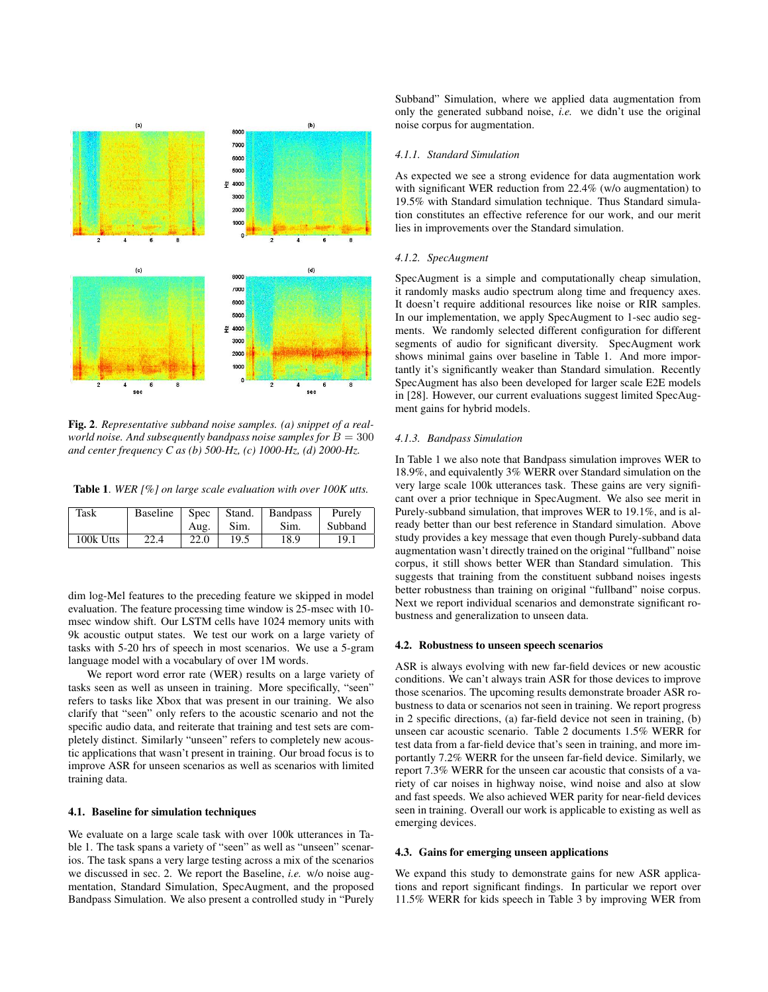

Fig. 2. *Representative subband noise samples. (a) snippet of a realworld noise. And subsequently bandpass noise samples for*  $B = 300$ *and center frequency C as (b) 500-Hz, (c) 1000-Hz, (d) 2000-Hz.*

Table 1. *WER [%] on large scale evaluation with over 100K utts.*

| Task      | <b>Baseline</b> | Spec | Stand. | <b>Bandpass</b> | Purely  |
|-----------|-----------------|------|--------|-----------------|---------|
|           |                 | Aug. | Sim.   | Sim.            | Subband |
| 100k Utts | 22.4            | 22.0 | 19.5   | 18.9            | 19.1    |

dim log-Mel features to the preceding feature we skipped in model evaluation. The feature processing time window is 25-msec with 10 msec window shift. Our LSTM cells have 1024 memory units with 9k acoustic output states. We test our work on a large variety of tasks with 5-20 hrs of speech in most scenarios. We use a 5-gram language model with a vocabulary of over 1M words.

We report word error rate (WER) results on a large variety of tasks seen as well as unseen in training. More specifically, "seen" refers to tasks like Xbox that was present in our training. We also clarify that "seen" only refers to the acoustic scenario and not the specific audio data, and reiterate that training and test sets are completely distinct. Similarly "unseen" refers to completely new acoustic applications that wasn't present in training. Our broad focus is to improve ASR for unseen scenarios as well as scenarios with limited training data.

### 4.1. Baseline for simulation techniques

We evaluate on a large scale task with over 100k utterances in Table 1. The task spans a variety of "seen" as well as "unseen" scenarios. The task spans a very large testing across a mix of the scenarios we discussed in sec. 2. We report the Baseline, *i.e.* w/o noise augmentation, Standard Simulation, SpecAugment, and the proposed Bandpass Simulation. We also present a controlled study in "Purely Subband" Simulation, where we applied data augmentation from only the generated subband noise, *i.e.* we didn't use the original noise corpus for augmentation.

#### *4.1.1. Standard Simulation*

As expected we see a strong evidence for data augmentation work with significant WER reduction from 22.4% (w/o augmentation) to 19.5% with Standard simulation technique. Thus Standard simulation constitutes an effective reference for our work, and our merit lies in improvements over the Standard simulation.

#### *4.1.2. SpecAugment*

SpecAugment is a simple and computationally cheap simulation, it randomly masks audio spectrum along time and frequency axes. It doesn't require additional resources like noise or RIR samples. In our implementation, we apply SpecAugment to 1-sec audio segments. We randomly selected different configuration for different segments of audio for significant diversity. SpecAugment work shows minimal gains over baseline in Table 1. And more importantly it's significantly weaker than Standard simulation. Recently SpecAugment has also been developed for larger scale E2E models in [28]. However, our current evaluations suggest limited SpecAugment gains for hybrid models.

### *4.1.3. Bandpass Simulation*

In Table 1 we also note that Bandpass simulation improves WER to 18.9%, and equivalently 3% WERR over Standard simulation on the very large scale 100k utterances task. These gains are very significant over a prior technique in SpecAugment. We also see merit in Purely-subband simulation, that improves WER to 19.1%, and is already better than our best reference in Standard simulation. Above study provides a key message that even though Purely-subband data augmentation wasn't directly trained on the original "fullband" noise corpus, it still shows better WER than Standard simulation. This suggests that training from the constituent subband noises ingests better robustness than training on original "fullband" noise corpus. Next we report individual scenarios and demonstrate significant robustness and generalization to unseen data.

# 4.2. Robustness to unseen speech scenarios

ASR is always evolving with new far-field devices or new acoustic conditions. We can't always train ASR for those devices to improve those scenarios. The upcoming results demonstrate broader ASR robustness to data or scenarios not seen in training. We report progress in 2 specific directions, (a) far-field device not seen in training, (b) unseen car acoustic scenario. Table 2 documents 1.5% WERR for test data from a far-field device that's seen in training, and more importantly 7.2% WERR for the unseen far-field device. Similarly, we report 7.3% WERR for the unseen car acoustic that consists of a variety of car noises in highway noise, wind noise and also at slow and fast speeds. We also achieved WER parity for near-field devices seen in training. Overall our work is applicable to existing as well as emerging devices.

# 4.3. Gains for emerging unseen applications

We expand this study to demonstrate gains for new ASR applications and report significant findings. In particular we report over 11.5% WERR for kids speech in Table 3 by improving WER from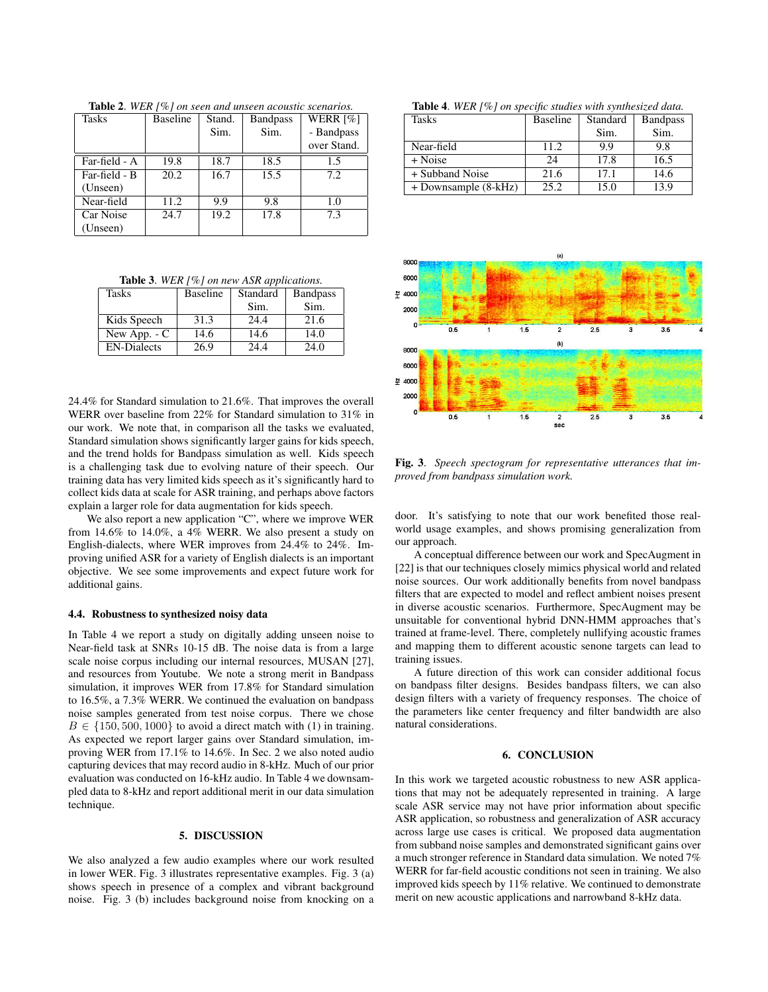| <b>Tasks</b>  | <b>Baseline</b> | Stand. | <b>Bandpass</b> | WERR $[\%]$ |  |
|---------------|-----------------|--------|-----------------|-------------|--|
|               |                 | Sim.   | Sim.            | - Bandpass  |  |
|               |                 |        |                 | over Stand. |  |
| Far-field - A | 19.8            | 18.7   | 18.5            | 1.5         |  |
| Far-field - B | 20.2            | 16.7   | 15.5            | 7.2         |  |
| (Unseen)      |                 |        |                 |             |  |
| Near-field    | 11.2            | 9.9    | 9.8             | 1.0         |  |
| Car Noise     | 24.7            | 19.2   | 17.8            | 7.3         |  |
| (Unseen)      |                 |        |                 |             |  |

Table 2. *WER [%] on seen and unseen acoustic scenarios.*

Table 3. *WER [%] on new ASR applications.*

| <b>Tasks</b>       | <b>Baseline</b> | Standard | <b>Bandpass</b> |
|--------------------|-----------------|----------|-----------------|
|                    |                 | Sim.     | Sim.            |
| Kids Speech        | 31.3            | 24.4     | 21.6            |
| New App. - C       | 14.6            | 14.6     | 14.0            |
| <b>EN-Dialects</b> | 26.9            | 24.4     | 24.0            |

24.4% for Standard simulation to 21.6%. That improves the overall WERR over baseline from 22% for Standard simulation to 31% in our work. We note that, in comparison all the tasks we evaluated, Standard simulation shows significantly larger gains for kids speech, and the trend holds for Bandpass simulation as well. Kids speech is a challenging task due to evolving nature of their speech. Our training data has very limited kids speech as it's significantly hard to collect kids data at scale for ASR training, and perhaps above factors explain a larger role for data augmentation for kids speech.

We also report a new application "C", where we improve WER from 14.6% to 14.0%, a 4% WERR. We also present a study on English-dialects, where WER improves from 24.4% to 24%. Improving unified ASR for a variety of English dialects is an important objective. We see some improvements and expect future work for additional gains.

#### 4.4. Robustness to synthesized noisy data

In Table 4 we report a study on digitally adding unseen noise to Near-field task at SNRs 10-15 dB. The noise data is from a large scale noise corpus including our internal resources, MUSAN [27], and resources from Youtube. We note a strong merit in Bandpass simulation, it improves WER from 17.8% for Standard simulation to 16.5%, a 7.3% WERR. We continued the evaluation on bandpass noise samples generated from test noise corpus. There we chose  $B \in \{150, 500, 1000\}$  to avoid a direct match with (1) in training. As expected we report larger gains over Standard simulation, improving WER from 17.1% to 14.6%. In Sec. 2 we also noted audio capturing devices that may record audio in 8-kHz. Much of our prior evaluation was conducted on 16-kHz audio. In Table 4 we downsampled data to 8-kHz and report additional merit in our data simulation technique.

## 5. DISCUSSION

We also analyzed a few audio examples where our work resulted in lower WER. Fig. 3 illustrates representative examples. Fig. 3 (a) shows speech in presence of a complex and vibrant background noise. Fig. 3 (b) includes background noise from knocking on a

Table 4. *WER [%] on specific studies with synthesized data.*

| Tasks                | <b>Baseline</b> | Standard | <b>Bandpass</b> |
|----------------------|-----------------|----------|-----------------|
|                      |                 | Sim.     | Sim.            |
| Near-field           | 11.2            | 9.9      | 9.8             |
| + Noise              | 24              | 17.8     | 16.5            |
| + Subband Noise      | 21.6            | 17.1     | 14.6            |
| + Downsample (8-kHz) | 25.2            | 15.0     | 13.9            |



Fig. 3. *Speech spectogram for representative utterances that improved from bandpass simulation work.*

door. It's satisfying to note that our work benefited those realworld usage examples, and shows promising generalization from our approach.

A conceptual difference between our work and SpecAugment in [22] is that our techniques closely mimics physical world and related noise sources. Our work additionally benefits from novel bandpass filters that are expected to model and reflect ambient noises present in diverse acoustic scenarios. Furthermore, SpecAugment may be unsuitable for conventional hybrid DNN-HMM approaches that's trained at frame-level. There, completely nullifying acoustic frames and mapping them to different acoustic senone targets can lead to training issues.

A future direction of this work can consider additional focus on bandpass filter designs. Besides bandpass filters, we can also design filters with a variety of frequency responses. The choice of the parameters like center frequency and filter bandwidth are also natural considerations.

# 6. CONCLUSION

In this work we targeted acoustic robustness to new ASR applications that may not be adequately represented in training. A large scale ASR service may not have prior information about specific ASR application, so robustness and generalization of ASR accuracy across large use cases is critical. We proposed data augmentation from subband noise samples and demonstrated significant gains over a much stronger reference in Standard data simulation. We noted 7% WERR for far-field acoustic conditions not seen in training. We also improved kids speech by 11% relative. We continued to demonstrate merit on new acoustic applications and narrowband 8-kHz data.